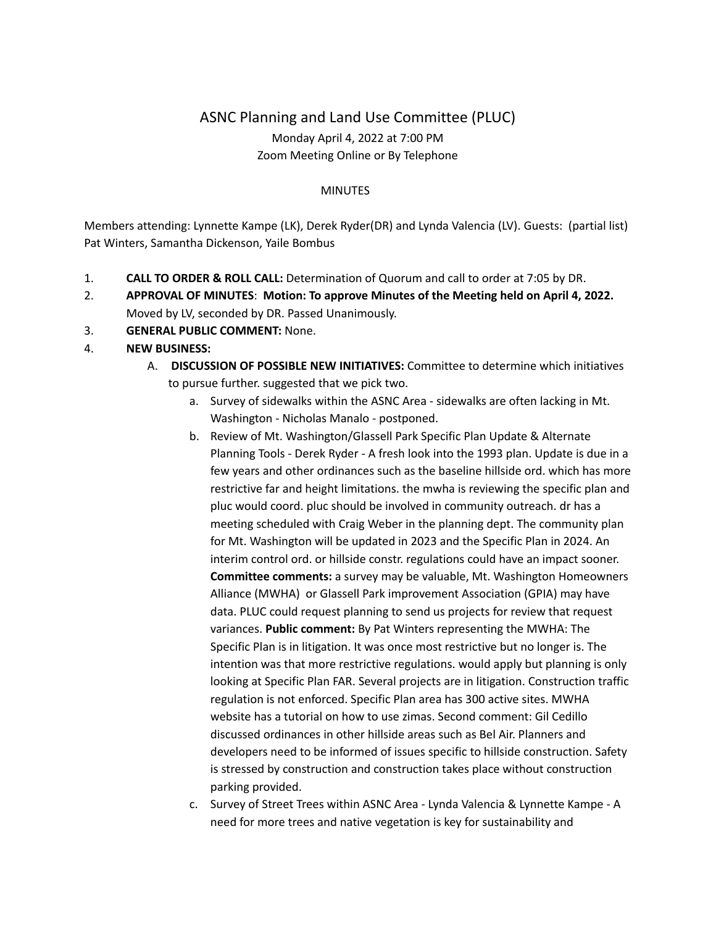## ASNC Planning and Land Use Committee (PLUC) Monday April 4, 2022 at 7:00 PM Zoom Meeting Online or By Telephone

## **MINUTES**

Members attending: Lynnette Kampe (LK), Derek Ryder(DR) and Lynda Valencia (LV). Guests: (partial list) Pat Winters, Samantha Dickenson, Yaile Bombus

- 1. **CALL TO ORDER & ROLL CALL:** Determination of Quorum and call to order at 7:05 by DR.
- 2. **APPROVAL OF MINUTES**: **Motion: To approve Minutes of the Meeting held on April 4, 2022.** Moved by LV, seconded by DR. Passed Unanimously.
- 3. **GENERAL PUBLIC COMMENT:** None.
- 4. **NEW BUSINESS:**
	- A. **DISCUSSION OF POSSIBLE NEW INITIATIVES:** Committee to determine which initiatives to pursue further. suggested that we pick two.
		- a. Survey of sidewalks within the ASNC Area sidewalks are often lacking in Mt. Washington - Nicholas Manalo - postponed.
		- b. Review of Mt. Washington/Glassell Park Specific Plan Update & Alternate Planning Tools - Derek Ryder - A fresh look into the 1993 plan. Update is due in a few years and other ordinances such as the baseline hillside ord. which has more restrictive far and height limitations. the mwha is reviewing the specific plan and pluc would coord. pluc should be involved in community outreach. dr has a meeting scheduled with Craig Weber in the planning dept. The community plan for Mt. Washington will be updated in 2023 and the Specific Plan in 2024. An interim control ord. or hillside constr. regulations could have an impact sooner. **Committee comments:** a survey may be valuable, Mt. Washington Homeowners Alliance (MWHA) or Glassell Park improvement Association (GPIA) may have data. PLUC could request planning to send us projects for review that request variances. **Public comment:** By Pat Winters representing the MWHA: The Specific Plan is in litigation. It was once most restrictive but no longer is. The intention was that more restrictive regulations. would apply but planning is only looking at Specific Plan FAR. Several projects are in litigation. Construction traffic regulation is not enforced. Specific Plan area has 300 active sites. MWHA website has a tutorial on how to use zimas. Second comment: Gil Cedillo discussed ordinances in other hillside areas such as Bel Air. Planners and developers need to be informed of issues specific to hillside construction. Safety is stressed by construction and construction takes place without construction parking provided.
		- c. Survey of Street Trees within ASNC Area Lynda Valencia & Lynnette Kampe A need for more trees and native vegetation is key for sustainability and